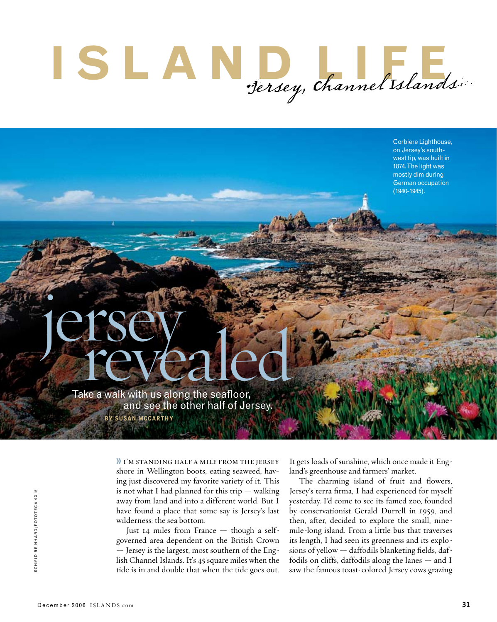## $\blacksquare$  **S**  $\blacksquare$   $\blacksquare$   $\blacksquare$   $\blacksquare$   $\blacksquare$   $\blacksquare$   $\blacksquare$   $\blacksquare$   $\blacksquare$   $\blacksquare$   $\blacksquare$   $\blacksquare$   $\blacksquare$

Corbiere Lighthouse, on Jersey's southwest tip, was built in 1874. The light was mostly dim during German occupation (1940-1945).

jersey Take a walk with us along the seafloor, **Example 20 and see the other half of Jersey.** 

by susan mccarthy

» i'm standing half a mile from the jersey shore in Wellington boots, eating seaweed, having just discovered my favorite variety of it. This is not what I had planned for this trip  $-$  walking away from land and into a different world. But I have found a place that some say is Jersey's last wilderness: the sea bottom.

Just 14 miles from France — though a selfgoverned area dependent on the British Crown — Jersey is the largest, most southern of the English Channel Islands. It's 45 square miles when the tide is in and double that when the tide goes out.

It gets loads of sunshine, which once made it England's greenhouse and farmers' market.

The charming island of fruit and flowers, Jersey's terra firma, I had experienced for myself yesterday. I'd come to see its famed zoo, founded by conservationist Gerald Durrell in 1959, and then, after, decided to explore the small, ninemile-long island. From a little bus that traverses its length, I had seen its greenness and its explosions of yellow — daffodils blanketing fields, daffodils on cliffs, daffodils along the lanes — and I Says terra firma, 1 had experienced for myself<br>away from land and into a different world. But I yesterday. I'd come to see its famed zoo, founded<br>have found a place that some say is Jersey's last by conservationist Gerald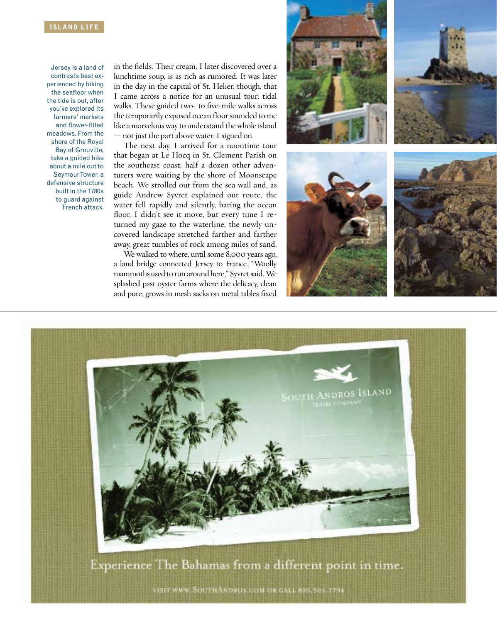## **ISLAND LIFE**

Jersey is a land of contrasts best experienced by hiking the seafloor when the tide is out, after you've explored its farmers' markets and flower-filled meadows. From the shore of the Royal Bay of Grouville, take a guided hike about a mile out to Seymour Tower, a defensive structure built in the 1780s to guard against French attack.

in the fields. Their cream, I later discovered over a lunchtime soup, is as rich as rumored. It was later in the day in the capital of St. Helier, though, that I came across a notice for an unusual tour: tidal walks. These guided two- to five-mile walks across the temporarily exposed ocean floor sounded to me like a marvelous way to understand the whole island — not just the part above water. I signed on.

The next day, I arrived for a noontime tour that began at Le Hocq in St. Clement Parish on the southeast coast; half a dozen other adventurers were waiting by the shore of Moonscape beach. We strolled out from the sea wall and, as guide Andrew Syvret explained our route, the water fell rapidly and silently, baring the ocean floor. I didn't see it move, but every time I returned my gaze to the waterline, the newly uncovered landscape stretched farther and farther away, great tumbles of rock among miles of sand.

We walked to where, until some 8,000 years ago, a land bridge connected Jersey to France. "Woolly mammoths used to run around here," Syvret said. We splashed past oyster farms where the delicacy, clean and pure, grows in mesh sacks on metal tables fixed





VISIT WWW. SOUTHANDROS.COM OR CALL 800.505.1794